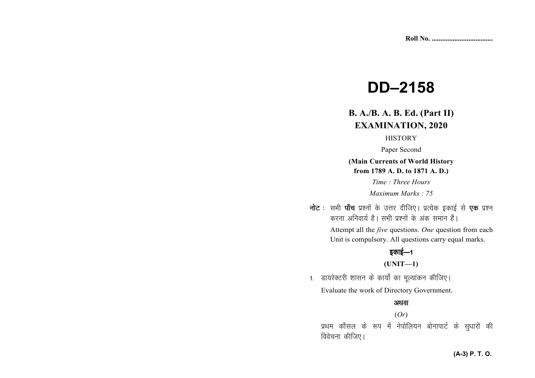# **DD–2158**

# **B. A./B. A. B. Ed. (Part II)EXAMINATION, 2020**

# **HISTORY**

Paper Second

**(Main Currents of World History from 1789 A. D. to 1871 A. D.)** 

*Time : Three Hours* 

*Maximum Marks : 75* 

**नोट** : सभी **पाँच** प्रश्नों के उत्तर दीजिए। प्रत्येक इकाई से **एक** प्रश्न *djuk vfuok;Z gSA lHkh iz'uksa d¢ vad leku gSaA* 

> Attempt all the *five* questions. *One* question from each Unit is compulsory. All questions carry equal marks.

# *bdkbZ*&*<sup>1</sup>*

# **(UNIT—1)**

1. डायरेक्टरी शासन के कार्यों का मूल्यांकन कीजिए। Evaluate the work of Directory Government.

#### अथवा

(*Or*)

*izFke dkSaly ds :i eas usiksfy;u cksukikVZ ds lq/kkjksa dh* **विवेचना कीजिए।**